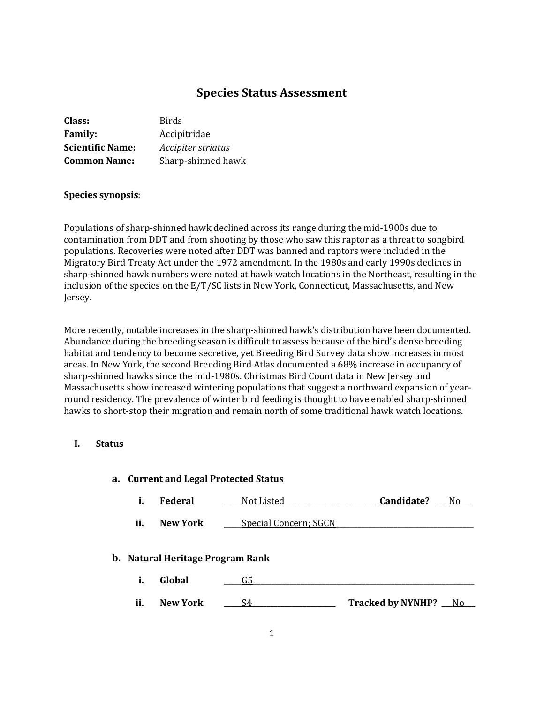# **Species Status Assessment**

| Class:                  | <b>Birds</b>       |
|-------------------------|--------------------|
| <b>Family:</b>          | Accipitridae       |
| <b>Scientific Name:</b> | Accipiter striatus |
| <b>Common Name:</b>     | Sharp-shinned hawk |

### **Species synopsis**:

Populations of sharp-shinned hawk declined across its range during the mid-1900s due to contamination from DDT and from shooting by those who saw this raptor as a threat to songbird populations. Recoveries were noted after DDT was banned and raptors were included in the Migratory Bird Treaty Act under the 1972 amendment. In the 1980s and early 1990s declines in sharp-shinned hawk numbers were noted at hawk watch locations in the Northeast, resulting in the inclusion of the species on the E/T/SC lists in New York, Connecticut, Massachusetts, and New Jersey.

More recently, notable increases in the sharp-shinned hawk's distribution have been documented. Abundance during the breeding season is difficult to assess because of the bird's dense breeding habitat and tendency to become secretive, yet Breeding Bird Survey data show increases in most areas. In New York, the second Breeding Bird Atlas documented a 68% increase in occupancy of sharp-shinned hawks since the mid-1980s. Christmas Bird Count data in New Jersey and Massachusetts show increased wintering populations that suggest a northward expansion of yearround residency. The prevalence of winter bird feeding is thought to have enabled sharp-shinned hawks to short-stop their migration and remain north of some traditional hawk watch locations.

#### **I. Status**

|     |                                  | a. Current and Legal Protected Status |                            |
|-----|----------------------------------|---------------------------------------|----------------------------|
| i.  | <b>Federal</b>                   | Not Listed                            | Candidate?<br>$N_{\Omega}$ |
| ii. | <b>New York</b>                  | <b>Special Concern; SGCN</b>          |                            |
|     | b. Natural Heritage Program Rank |                                       |                            |
| i.  | Global                           | G5                                    |                            |
| ii. | <b>New York</b>                  | S4                                    | Tracked by NYNHP? __ No    |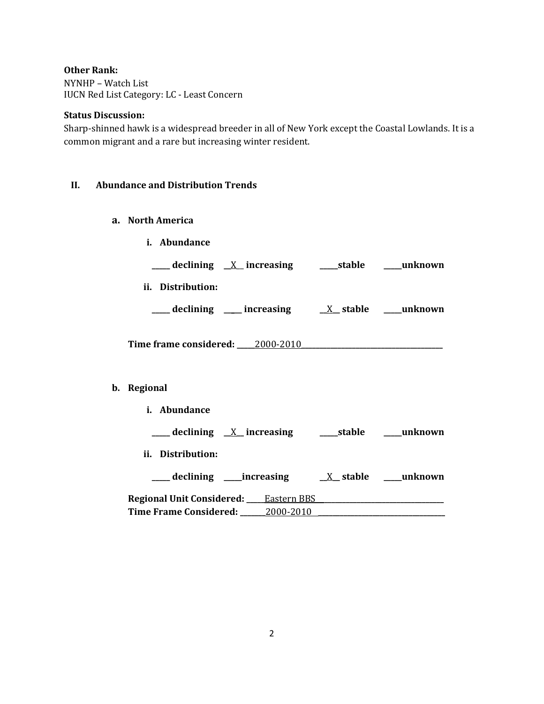# **Other Rank:**

NYNHP – Watch List IUCN Red List Category: LC - Least Concern

### **Status Discussion:**

Sharp-shinned hawk is a widespread breeder in all of New York except the Coastal Lowlands. It is a common migrant and a rare but increasing winter resident.

# **II. Abundance and Distribution Trends**

- **a. North America**
	- **i. Abundance**

| $\underline{X}$ increasing<br>declining<br>stable | unknown |
|---------------------------------------------------|---------|
|---------------------------------------------------|---------|

**ii. Distribution:**

| declining | increasing | $X$ stable | unknown |
|-----------|------------|------------|---------|
|-----------|------------|------------|---------|

**Time frame considered: \_\_\_\_\_**2000-2010**\_\_\_\_\_\_\_\_\_\_\_\_\_\_\_\_\_\_\_\_\_\_\_\_\_\_\_\_\_\_\_\_\_\_\_\_\_\_\_**

# **b. Regional**

**i. Abundance**

| $\equiv$ declining $X$ increasing             |            | stable                  | unknown    |
|-----------------------------------------------|------------|-------------------------|------------|
| ii. Distribution:                             |            |                         |            |
| __declining ____increasing                    |            | $X_{\mathbf{z}}$ stable | ___unknown |
| <b>Regional Unit Considered:</b> Leastern BBS |            |                         |            |
| <b>Time Frame Considered:</b>                 | _2000-2010 |                         |            |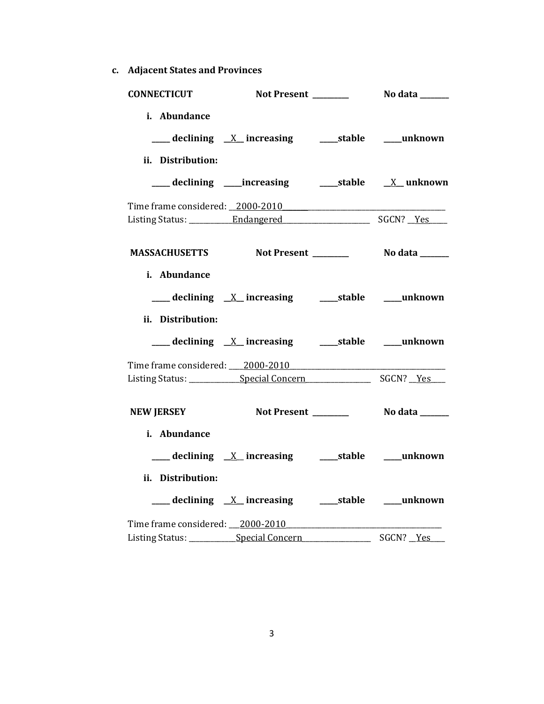**c. Adjacent States and Provinces**

| <b>CONNECTICUT</b> |                                                          |           |
|--------------------|----------------------------------------------------------|-----------|
| i. Abundance       |                                                          |           |
|                    | ___ declining <u>X</u> increasing ___ stable ___ unknown |           |
| ii. Distribution:  |                                                          |           |
|                    |                                                          |           |
|                    | Time frame considered: _2000-2010                        |           |
|                    |                                                          |           |
|                    | MASSACHUSETTS Not Present _________ No data ______       |           |
| i. Abundance       |                                                          |           |
|                    |                                                          |           |
| ii. Distribution:  |                                                          |           |
|                    |                                                          |           |
|                    | Time frame considered: 2000-2010                         |           |
|                    |                                                          |           |
| <b>NEW JERSEY</b>  |                                                          |           |
| i. Abundance       |                                                          |           |
|                    | ___ declining _X_ increasing _______stable _____unknown  |           |
| ii. Distribution:  |                                                          |           |
|                    |                                                          |           |
|                    | Time frame considered: 2000-2010                         |           |
|                    | Listing Status: ____________Special Concern              | SGCN? Yes |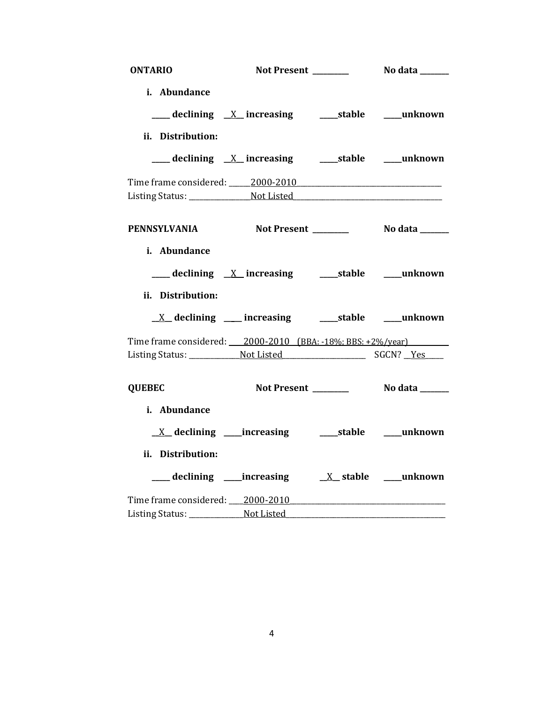| <b>ONTARIO</b>    |                                                                       |                          |
|-------------------|-----------------------------------------------------------------------|--------------------------|
| i. Abundance      |                                                                       |                          |
|                   | <u>___</u> declining <u>X</u> _ increasing  ____ stable  ____ unknown |                          |
| ii. Distribution: |                                                                       |                          |
|                   |                                                                       |                          |
|                   | Time frame considered: 2000-2010                                      |                          |
|                   |                                                                       |                          |
|                   | PENNSYLVANIA Not Present _________ No data ______                     |                          |
| i. Abundance      |                                                                       |                          |
|                   |                                                                       |                          |
| ii. Distribution: |                                                                       |                          |
|                   |                                                                       |                          |
|                   | Time frame considered: 2000-2010 (BBA: -18%; BBS: +2%/year)           |                          |
|                   |                                                                       |                          |
| <b>QUEBEC</b>     |                                                                       |                          |
| i. Abundance      |                                                                       |                          |
|                   | $X$ declining _____increasing                                         | _____stable _____unknown |
| ii. Distribution: |                                                                       |                          |
|                   |                                                                       |                          |
|                   | Time frame considered: 2000-2010                                      |                          |
|                   |                                                                       |                          |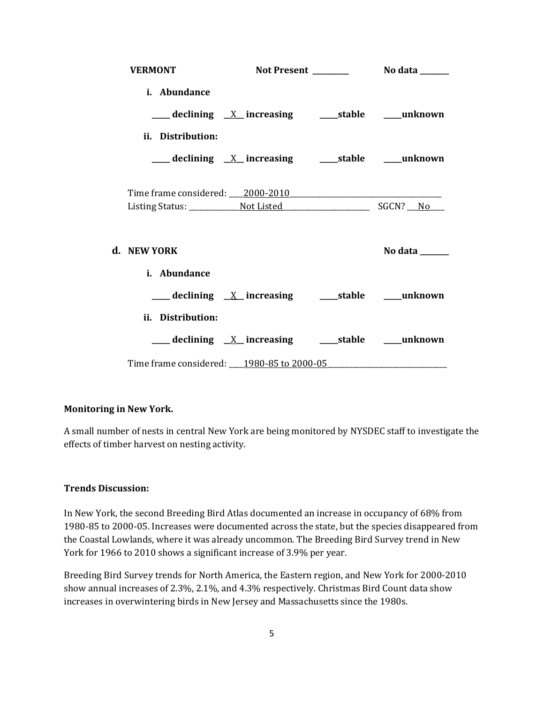| <b>VERMONT</b>                            |                                                                    |         |
|-------------------------------------------|--------------------------------------------------------------------|---------|
| <i>i.</i> Abundance                       |                                                                    |         |
|                                           |                                                                    |         |
| ii. Distribution:                         |                                                                    |         |
|                                           | ____ declining <u>X</u> _increasing _____stable ____unknown        |         |
| Time frame considered: 2000-2010          |                                                                    |         |
| d. NEW YORK                               |                                                                    | No data |
| i. Abundance                              |                                                                    |         |
|                                           |                                                                    |         |
| ii. Distribution:                         |                                                                    |         |
|                                           | <u>___</u> declining <u>X</u> _increasing  ____stable  ____unknown |         |
| Time frame considered: 1980-85 to 2000-05 |                                                                    |         |

### **Monitoring in New York.**

A small number of nests in central New York are being monitored by NYSDEC staff to investigate the effects of timber harvest on nesting activity.

### **Trends Discussion:**

In New York, the second Breeding Bird Atlas documented an increase in occupancy of 68% from 1980-85 to 2000-05. Increases were documented across the state, but the species disappeared from the Coastal Lowlands, where it was already uncommon. The Breeding Bird Survey trend in New York for 1966 to 2010 shows a significant increase of 3.9% per year.

Breeding Bird Survey trends for North America, the Eastern region, and New York for 2000-2010 show annual increases of 2.3%, 2.1%, and 4.3% respectively. Christmas Bird Count data show increases in overwintering birds in New Jersey and Massachusetts since the 1980s.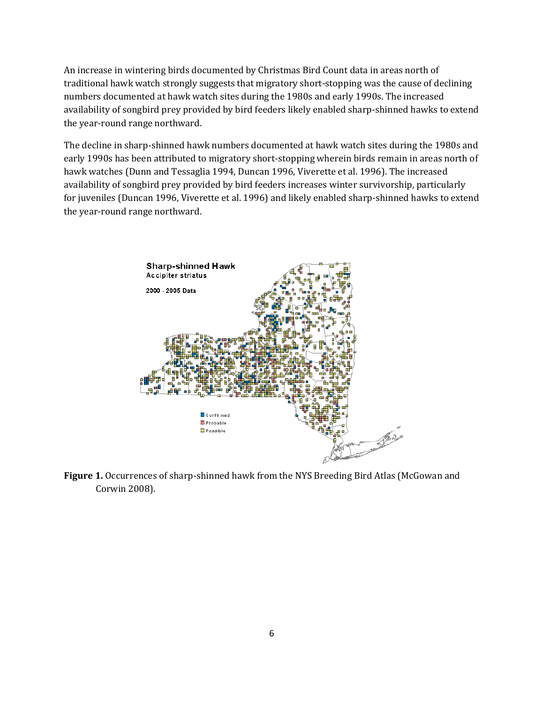An increase in wintering birds documented by Christmas Bird Count data in areas north of traditional hawk watch strongly suggests that migratory short-stopping was the cause of declining numbers documented at hawk watch sites during the 1980s and early 1990s. The increased availability of songbird prey provided by bird feeders likely enabled sharp-shinned hawks to extend the year-round range northward.

The decline in sharp-shinned hawk numbers documented at hawk watch sites during the 1980s and early 1990s has been attributed to migratory short-stopping wherein birds remain in areas north of hawk watches (Dunn and Tessaglia 1994, Duncan 1996, Viverette et al. 1996). The increased availability of songbird prey provided by bird feeders increases winter survivorship, particularly for juveniles (Duncan 1996, Viverette et al. 1996) and likely enabled sharp-shinned hawks to extend the year-round range northward.



**Figure 1.** Occurrences of sharp-shinned hawk from the NYS Breeding Bird Atlas (McGowan and Corwin 2008).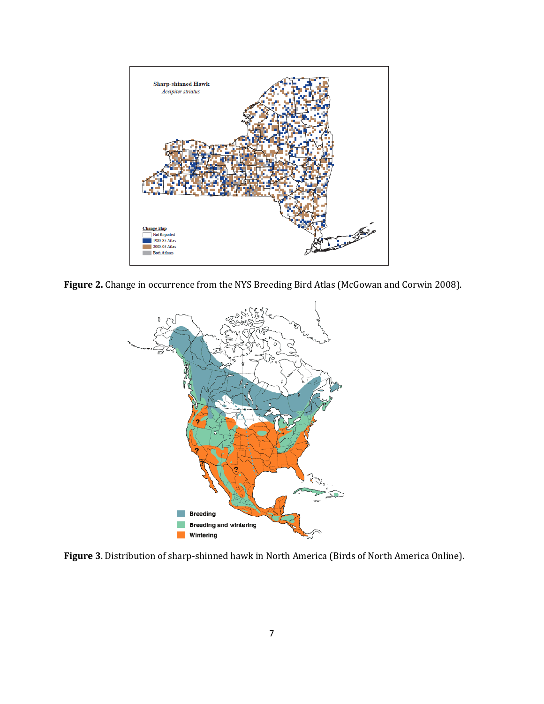

**Figure 2.** Change in occurrence from the NYS Breeding Bird Atlas (McGowan and Corwin 2008).



**Figure 3**. Distribution of sharp-shinned hawk in North America (Birds of North America Online).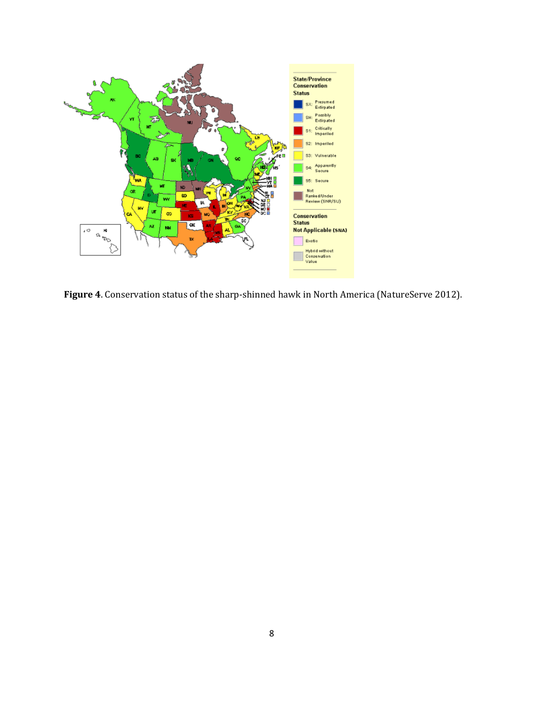

**Figure 4**. Conservation status of the sharp-shinned hawk in North America (NatureServe 2012).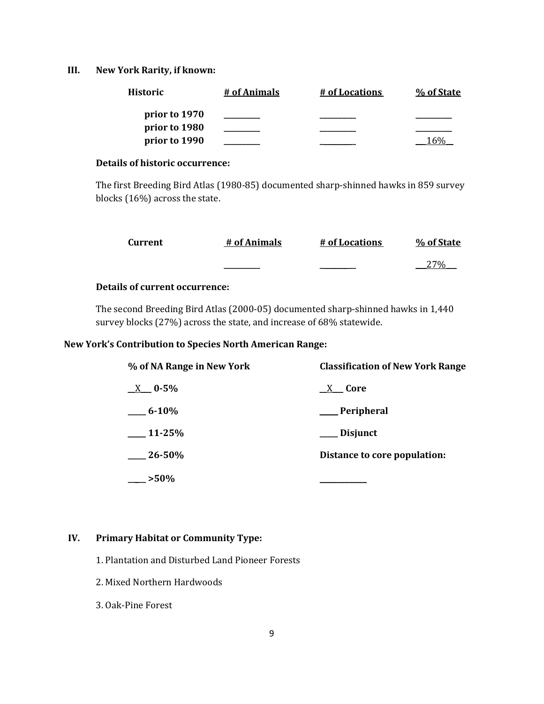### **III. New York Rarity, if known:**

| <b>Historic</b> | # of Animals | # of Locations | % of State |
|-----------------|--------------|----------------|------------|
| prior to 1970   |              |                |            |
| prior to 1980   |              |                |            |
| prior to 1990   |              |                |            |

### **Details of historic occurrence:**

The first Breeding Bird Atlas (1980-85) documented sharp-shinned hawks in 859 survey blocks (16%) across the state.

| Current | # of Animals | # of Locations | % of State |
|---------|--------------|----------------|------------|
|         |              |                | 270/       |

# **Details of current occurrence:**

The second Breeding Bird Atlas (2000-05) documented sharp-shinned hawks in 1,440 survey blocks (27%) across the state, and increase of 68% statewide.

# **New York's Contribution to Species North American Range:**

| % of NA Range in New York | <b>Classification of New York Range</b> |  |  |
|---------------------------|-----------------------------------------|--|--|
| $X = 0.5\%$               | X <b>Core</b>                           |  |  |
| $-6 - 10%$                | __Peripheral                            |  |  |
| 11-25%                    | <b>Disjunct</b>                         |  |  |
| $26 - 50\%$               | Distance to core population:            |  |  |
| $>50\%$                   |                                         |  |  |

### **IV. Primary Habitat or Community Type:**

- 1. Plantation and Disturbed Land Pioneer Forests
- 2. Mixed Northern Hardwoods
- 3. Oak-Pine Forest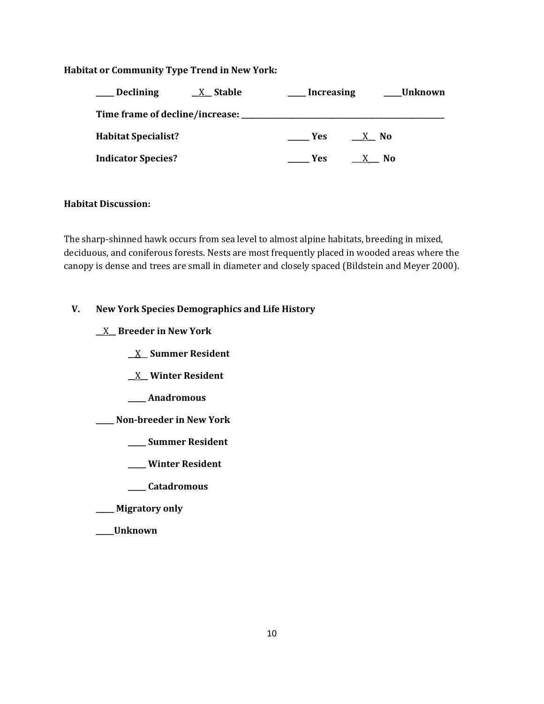### **Habitat or Community Type Trend in New York:**

| <b>Declining</b>           | $X$ Stable | <b>Increasing</b> | <b>Unknown</b> |  |
|----------------------------|------------|-------------------|----------------|--|
|                            |            |                   |                |  |
| <b>Habitat Specialist?</b> |            | <b>Yes</b>        | X No           |  |
| <b>Indicator Species?</b>  |            | <b>Yes</b>        | No.            |  |

#### **Habitat Discussion:**

The sharp-shinned hawk occurs from sea level to almost alpine habitats, breeding in mixed, deciduous, and coniferous forests. Nests are most frequently placed in wooded areas where the canopy is dense and trees are small in diameter and closely spaced (Bildstein and Meyer 2000).

# **V. New York Species Demographics and Life History**

**\_\_**X**\_\_ Breeder in New York**

- **\_\_**X\_\_ **Summer Resident**
- **\_\_**X**\_\_ Winter Resident**
- **\_\_\_\_\_ Anadromous**
- **\_\_\_\_\_ Non-breeder in New York**
	- **\_\_\_\_\_ Summer Resident**
	- **\_\_\_\_\_ Winter Resident**
	- **\_\_\_\_\_ Catadromous**
- **\_\_\_\_\_ Migratory only**
- **\_\_\_\_\_Unknown**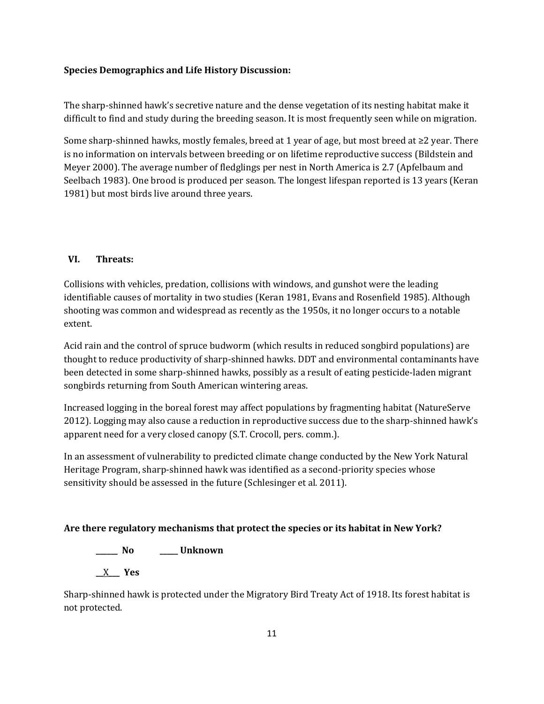# **Species Demographics and Life History Discussion:**

The sharp-shinned hawk's secretive nature and the dense vegetation of its nesting habitat make it difficult to find and study during the breeding season. It is most frequently seen while on migration.

Some sharp-shinned hawks, mostly females, breed at 1 year of age, but most breed at ≥2 year. There is no information on intervals between breeding or on lifetime reproductive success (Bildstein and Meyer 2000). The average number of fledglings per nest in North America is 2.7 (Apfelbaum and Seelbach 1983). One brood is produced per season. The longest lifespan reported is 13 years (Keran 1981) but most birds live around three years.

# **VI. Threats:**

Collisions with vehicles, predation, collisions with windows, and gunshot were the leading identifiable causes of mortality in two studies (Keran 1981, Evans and Rosenfield 1985). Although shooting was common and widespread as recently as the 1950s, it no longer occurs to a notable extent.

Acid rain and the control of spruce budworm (which results in reduced songbird populations) are thought to reduce productivity of sharp-shinned hawks. DDT and environmental contaminants have been detected in some sharp-shinned hawks, possibly as a result of eating pesticide-laden migrant songbirds returning from South American wintering areas.

Increased logging in the boreal forest may affect populations by fragmenting habitat (NatureServe 2012). Logging may also cause a reduction in reproductive success due to the sharp-shinned hawk's apparent need for a very closed canopy (S.T. Crocoll, pers. comm.).

In an assessment of vulnerability to predicted climate change conducted by the New York Natural Heritage Program, sharp-shinned hawk was identified as a second-priority species whose sensitivity should be assessed in the future (Schlesinger et al. 2011).

# **Are there regulatory mechanisms that protect the species or its habitat in New York?**

**\_\_\_\_\_\_ No \_\_\_\_\_ Unknown**

**\_\_**X**\_\_\_ Yes**

Sharp-shinned hawk is protected under the Migratory Bird Treaty Act of 1918. Its forest habitat is not protected.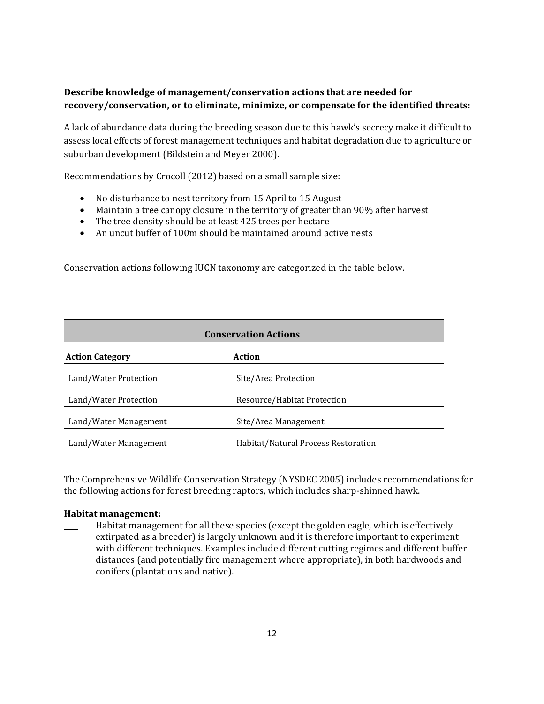# **Describe knowledge of management/conservation actions that are needed for recovery/conservation, or to eliminate, minimize, or compensate for the identified threats:**

A lack of abundance data during the breeding season due to this hawk's secrecy make it difficult to assess local effects of forest management techniques and habitat degradation due to agriculture or suburban development (Bildstein and Meyer 2000).

Recommendations by Crocoll (2012) based on a small sample size:

- No disturbance to nest territory from 15 April to 15 August
- Maintain a tree canopy closure in the territory of greater than 90% after harvest
- The tree density should be at least 425 trees per hectare
- An uncut buffer of 100m should be maintained around active nests

Conservation actions following IUCN taxonomy are categorized in the table below.

| <b>Conservation Actions</b> |                                     |
|-----------------------------|-------------------------------------|
| <b>Action Category</b>      | <b>Action</b>                       |
| Land/Water Protection       | Site/Area Protection                |
| Land/Water Protection       | Resource/Habitat Protection         |
| Land/Water Management       | Site/Area Management                |
| Land/Water Management       | Habitat/Natural Process Restoration |

The Comprehensive Wildlife Conservation Strategy (NYSDEC 2005) includes recommendations for the following actions for forest breeding raptors, which includes sharp-shinned hawk.

#### **Habitat management:**

Habitat management for all these species (except the golden eagle, which is effectively extirpated as a breeder) is largely unknown and it is therefore important to experiment with different techniques. Examples include different cutting regimes and different buffer distances (and potentially fire management where appropriate), in both hardwoods and conifers (plantations and native).